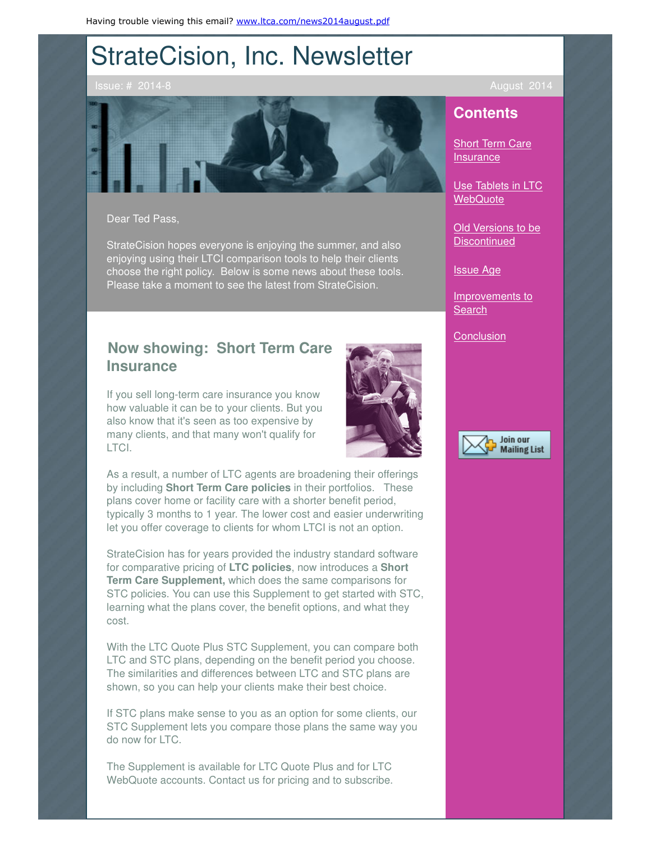# StrateCision, Inc. Newsletter



Dear Ted Pass,

StrateCision hopes everyone is enjoying the summer, and also enjoying using their LTCI comparison tools to help their clients choose the right policy. Below is some news about these tools. Please take a moment to see the latest from StrateCision.

## **Now showing: Short Term Care Insurance**

If you sell long-term care insurance you know how valuable it can be to your clients. But you also know that it's seen as too expensive by many clients, and that many won't qualify for LTCI.



As a result, a number of LTC agents are broadening their offerings by including **Short Term Care policies** in their portfolios. These plans cover home or facility care with a shorter benefit period, typically 3 months to 1 year. The lower cost and easier underwriting let you offer coverage to clients for whom LTCI is not an option.

StrateCision has for years provided the industry standard software for comparative pricing of **LTC policies**, now introduces a **Short Term Care Supplement,** which does the same comparisons for STC policies. You can use this Supplement to get started with STC, learning what the plans cover, the benefit options, and what they cost.

With the LTC Quote Plus STC Supplement, you can compare both LTC and STC plans, depending on the benefit period you choose. The similarities and differences between LTC and STC plans are shown, so you can help your clients make their best choice.

If STC plans make sense to you as an option for some clients, our STC Supplement lets you compare those plans the same way you do now for LTC.

The Supplement is available for LTC Quote Plus and for LTC WebQuote accounts. Contact us for pricing and to subscribe.

Issue: # 2014-8 August 2014

## **Contents**

Short Term Care **Insurance** 

Use Tablets in LTC **WebQuote** 

**Old Versions to be Discontinued** 

Issue Age

Improvements to **Search** 

**Conclusion** 

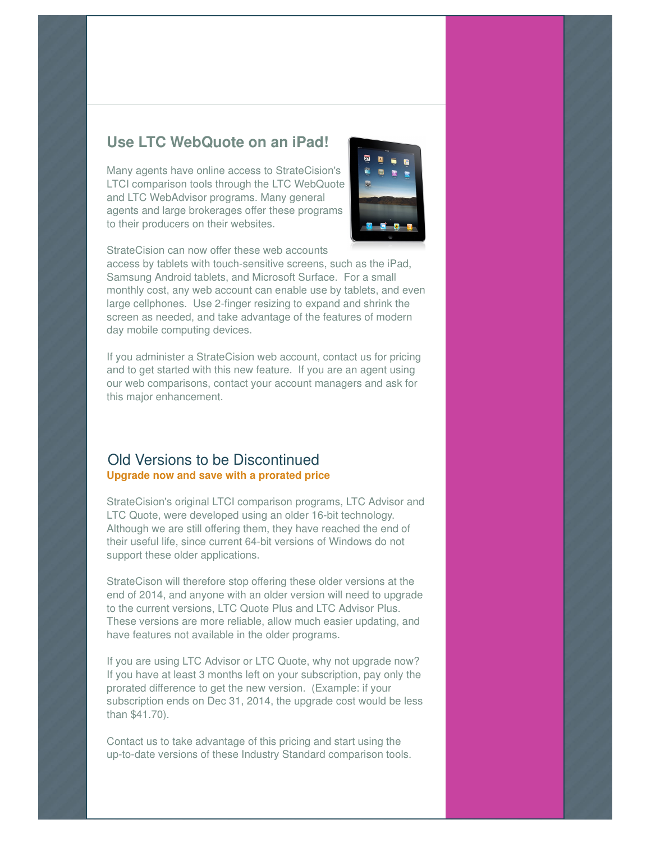## **Use LTC WebQuote on an iPad!**

Many agents have online access to StrateCision's LTCI comparison tools through the LTC WebQuote and LTC WebAdvisor programs. Many general agents and large brokerages offer these programs to their producers on their websites.



StrateCision can now offer these web accounts

access by tablets with touch-sensitive screens, such as the iPad, Samsung Android tablets, and Microsoft Surface. For a small monthly cost, any web account can enable use by tablets, and even large cellphones. Use 2-finger resizing to expand and shrink the screen as needed, and take advantage of the features of modern day mobile computing devices.

If you administer a StrateCision web account, contact us for pricing and to get started with this new feature. If you are an agent using our web comparisons, contact your account managers and ask for this major enhancement.

### Old Versions to be Discontinued **Upgrade now and save with a prorated price**

StrateCision's original LTCI comparison programs, LTC Advisor and LTC Quote, were developed using an older 16-bit technology. Although we are still offering them, they have reached the end of their useful life, since current 64-bit versions of Windows do not support these older applications.

StrateCison will therefore stop offering these older versions at the end of 2014, and anyone with an older version will need to upgrade to the current versions, LTC Quote Plus and LTC Advisor Plus. These versions are more reliable, allow much easier updating, and have features not available in the older programs.

If you are using LTC Advisor or LTC Quote, why not upgrade now? If you have at least 3 months left on your subscription, pay only the prorated difference to get the new version. (Example: if your subscription ends on Dec 31, 2014, the upgrade cost would be less than \$41.70).

Contact us to take advantage of this pricing and start using the up-to-date versions of these Industry Standard comparison tools.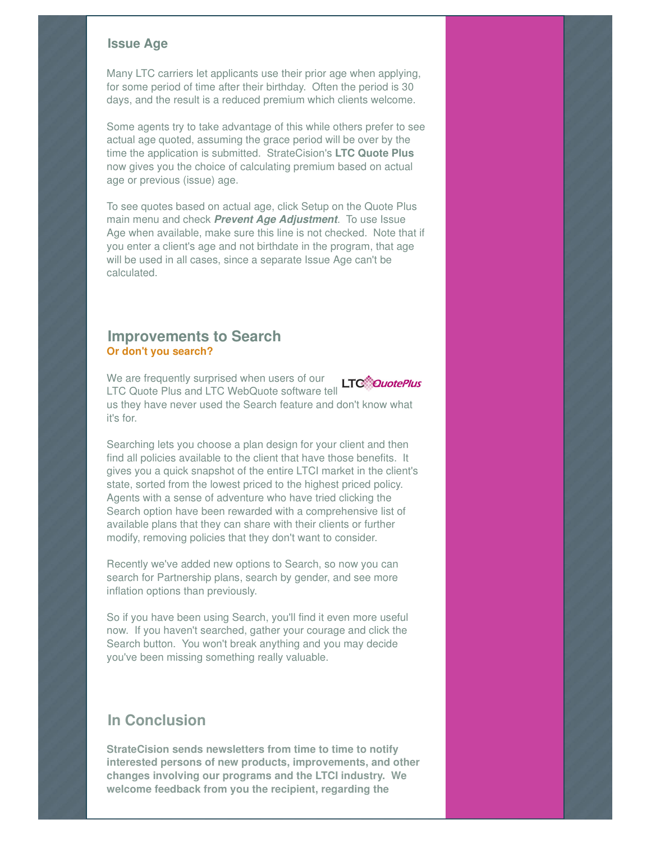#### **Issue Age**

Many LTC carriers let applicants use their prior age when applying, for some period of time after their birthday. Often the period is 30 days, and the result is a reduced premium which clients welcome.

Some agents try to take advantage of this while others prefer to see actual age quoted, assuming the grace period will be over by the time the application is submitted. StrateCision's **LTC Quote Plus** now gives you the choice of calculating premium based on actual age or previous (issue) age.

To see quotes based on actual age, click Setup on the Quote Plus main menu and check **Prevent Age Adjustment**. To use Issue Age when available, make sure this line is not checked. Note that if you enter a client's age and not birthdate in the program, that age will be used in all cases, since a separate Issue Age can't be calculated.

### **Improvements to Search Or don't you search?**

We are frequently surprised when users of our **LTC***CouotePlus* LTC Quote Plus and LTC WebQuote software tell us they have never used the Search feature and don't know what it's for.

Searching lets you choose a plan design for your client and then find all policies available to the client that have those benefits. It gives you a quick snapshot of the entire LTCI market in the client's state, sorted from the lowest priced to the highest priced policy. Agents with a sense of adventure who have tried clicking the Search option have been rewarded with a comprehensive list of available plans that they can share with their clients or further modify, removing policies that they don't want to consider.

Recently we've added new options to Search, so now you can search for Partnership plans, search by gender, and see more inflation options than previously.

So if you have been using Search, you'll find it even more useful now. If you haven't searched, gather your courage and click the Search button. You won't break anything and you may decide you've been missing something really valuable.

## **In Conclusion**

**StrateCision sends newsletters from time to time to notify interested persons of new products, improvements, and other changes involving our programs and the LTCI industry. We welcome feedback from you the recipient, regarding the**